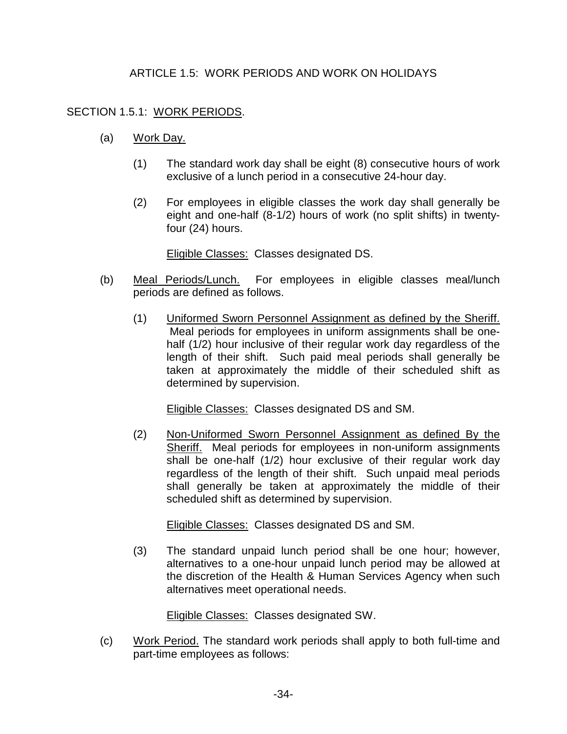## ARTICLE 1.5: WORK PERIODS AND WORK ON HOLIDAYS

## SECTION 1.5.1: WORK PERIODS.

- (a) Work Day.
	- (1) The standard work day shall be eight (8) consecutive hours of work exclusive of a lunch period in a consecutive 24-hour day.
	- (2) For employees in eligible classes the work day shall generally be eight and one-half (8-1/2) hours of work (no split shifts) in twentyfour (24) hours.

Eligible Classes: Classes designated DS.

- (b) Meal Periods/Lunch. For employees in eligible classes meal/lunch periods are defined as follows.
	- (1) Uniformed Sworn Personnel Assignment as defined by the Sheriff. Meal periods for employees in uniform assignments shall be onehalf (1/2) hour inclusive of their regular work day regardless of the length of their shift. Such paid meal periods shall generally be taken at approximately the middle of their scheduled shift as determined by supervision.

Eligible Classes: Classes designated DS and SM.

(2) Non-Uniformed Sworn Personnel Assignment as defined By the Sheriff. Meal periods for employees in non-uniform assignments shall be one-half (1/2) hour exclusive of their regular work day regardless of the length of their shift. Such unpaid meal periods shall generally be taken at approximately the middle of their scheduled shift as determined by supervision.

Eligible Classes: Classes designated DS and SM.

(3) The standard unpaid lunch period shall be one hour; however, alternatives to a one-hour unpaid lunch period may be allowed at the discretion of the Health & Human Services Agency when such alternatives meet operational needs.

Eligible Classes: Classes designated SW.

(c) Work Period. The standard work periods shall apply to both full-time and part-time employees as follows: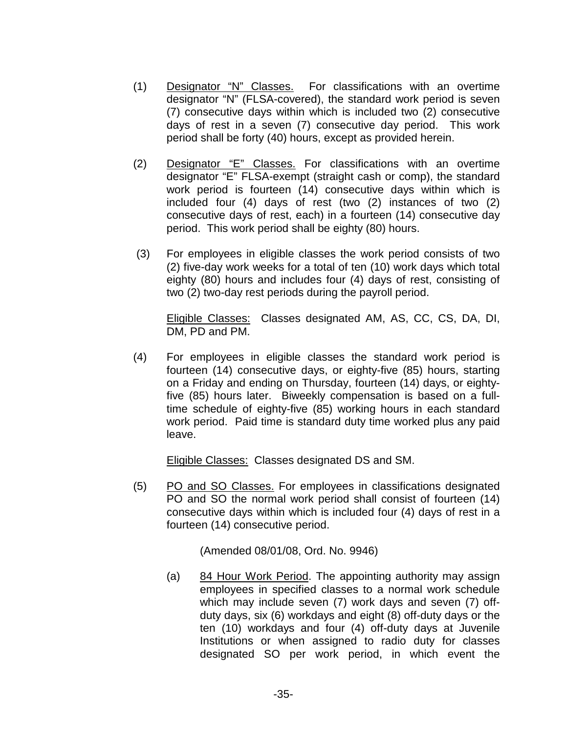- (1) Designator "N" Classes. For classifications with an overtime designator "N" (FLSA-covered), the standard work period is seven (7) consecutive days within which is included two (2) consecutive days of rest in a seven (7) consecutive day period. This work period shall be forty (40) hours, except as provided herein.
- (2) Designator "E" Classes. For classifications with an overtime designator "E" FLSA-exempt (straight cash or comp), the standard work period is fourteen (14) consecutive days within which is included four (4) days of rest (two (2) instances of two (2) consecutive days of rest, each) in a fourteen (14) consecutive day period. This work period shall be eighty (80) hours.
- (3) For employees in eligible classes the work period consists of two (2) five-day work weeks for a total of ten (10) work days which total eighty (80) hours and includes four (4) days of rest, consisting of two (2) two-day rest periods during the payroll period.

Eligible Classes: Classes designated AM, AS, CC, CS, DA, DI, DM, PD and PM.

(4) For employees in eligible classes the standard work period is fourteen (14) consecutive days, or eighty-five (85) hours, starting on a Friday and ending on Thursday, fourteen (14) days, or eightyfive (85) hours later. Biweekly compensation is based on a fulltime schedule of eighty-five (85) working hours in each standard work period. Paid time is standard duty time worked plus any paid leave.

Eligible Classes: Classes designated DS and SM.

(5) PO and SO Classes. For employees in classifications designated PO and SO the normal work period shall consist of fourteen (14) consecutive days within which is included four (4) days of rest in a fourteen (14) consecutive period.

(Amended 08/01/08, Ord. No. 9946)

(a) 84 Hour Work Period. The appointing authority may assign employees in specified classes to a normal work schedule which may include seven (7) work days and seven (7) offduty days, six (6) workdays and eight (8) off-duty days or the ten (10) workdays and four (4) off-duty days at Juvenile Institutions or when assigned to radio duty for classes designated SO per work period, in which event the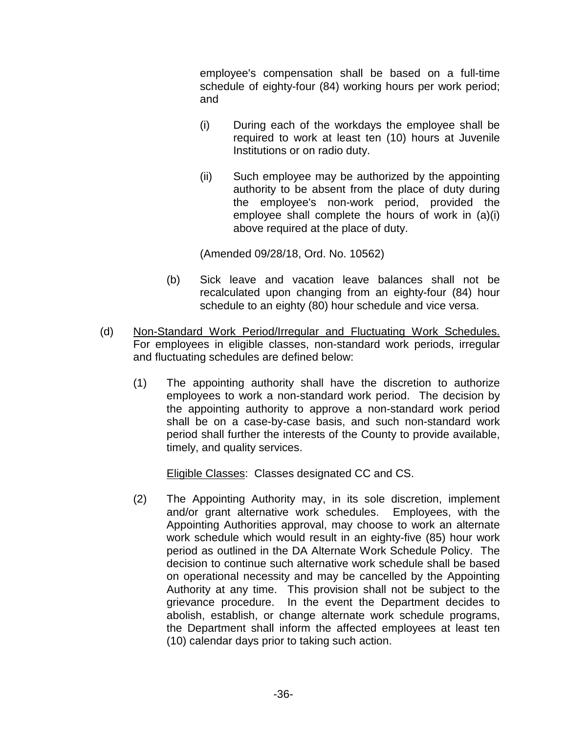employee's compensation shall be based on a full-time schedule of eighty-four (84) working hours per work period; and

- (i) During each of the workdays the employee shall be required to work at least ten (10) hours at Juvenile Institutions or on radio duty.
- (ii) Such employee may be authorized by the appointing authority to be absent from the place of duty during the employee's non-work period, provided the employee shall complete the hours of work in (a)(i) above required at the place of duty.

(Amended 09/28/18, Ord. No. 10562)

- (b) Sick leave and vacation leave balances shall not be recalculated upon changing from an eighty-four (84) hour schedule to an eighty (80) hour schedule and vice versa.
- (d) Non-Standard Work Period/Irregular and Fluctuating Work Schedules. For employees in eligible classes, non-standard work periods, irregular and fluctuating schedules are defined below:
	- (1) The appointing authority shall have the discretion to authorize employees to work a non-standard work period. The decision by the appointing authority to approve a non-standard work period shall be on a case-by-case basis, and such non-standard work period shall further the interests of the County to provide available, timely, and quality services.

Eligible Classes: Classes designated CC and CS.

(2) The Appointing Authority may, in its sole discretion, implement and/or grant alternative work schedules. Employees, with the Appointing Authorities approval, may choose to work an alternate work schedule which would result in an eighty-five (85) hour work period as outlined in the DA Alternate Work Schedule Policy. The decision to continue such alternative work schedule shall be based on operational necessity and may be cancelled by the Appointing Authority at any time. This provision shall not be subject to the grievance procedure. In the event the Department decides to abolish, establish, or change alternate work schedule programs, the Department shall inform the affected employees at least ten (10) calendar days prior to taking such action.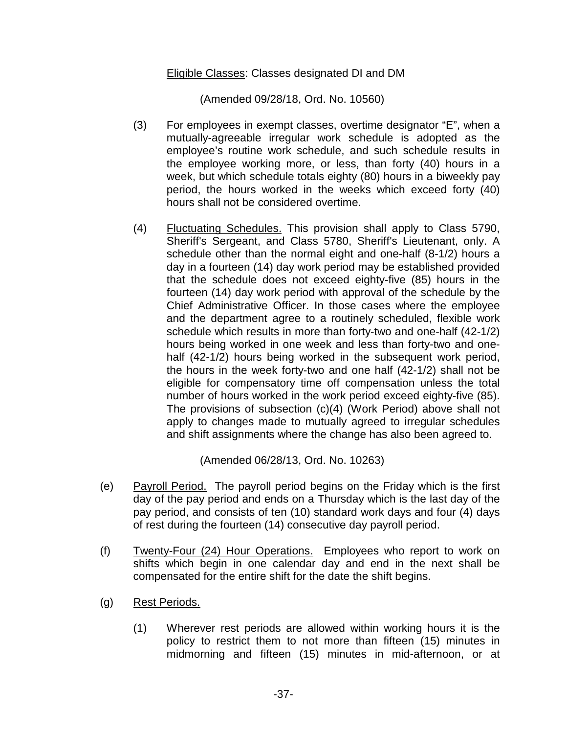## Eligible Classes: Classes designated DI and DM

(Amended 09/28/18, Ord. No. 10560)

- (3) For employees in exempt classes, overtime designator "E", when a mutually-agreeable irregular work schedule is adopted as the employee's routine work schedule, and such schedule results in the employee working more, or less, than forty (40) hours in a week, but which schedule totals eighty (80) hours in a biweekly pay period, the hours worked in the weeks which exceed forty (40) hours shall not be considered overtime.
- (4) Fluctuating Schedules. This provision shall apply to Class 5790, Sheriff's Sergeant, and Class 5780, Sheriff's Lieutenant, only. A schedule other than the normal eight and one-half (8-1/2) hours a day in a fourteen (14) day work period may be established provided that the schedule does not exceed eighty-five (85) hours in the fourteen (14) day work period with approval of the schedule by the Chief Administrative Officer. In those cases where the employee and the department agree to a routinely scheduled, flexible work schedule which results in more than forty-two and one-half (42-1/2) hours being worked in one week and less than forty-two and onehalf (42-1/2) hours being worked in the subsequent work period, the hours in the week forty-two and one half (42-1/2) shall not be eligible for compensatory time off compensation unless the total number of hours worked in the work period exceed eighty-five (85). The provisions of subsection (c)(4) (Work Period) above shall not apply to changes made to mutually agreed to irregular schedules and shift assignments where the change has also been agreed to.

(Amended 06/28/13, Ord. No. 10263)

- (e) Payroll Period. The payroll period begins on the Friday which is the first day of the pay period and ends on a Thursday which is the last day of the pay period, and consists of ten (10) standard work days and four (4) days of rest during the fourteen (14) consecutive day payroll period.
- (f) Twenty-Four (24) Hour Operations. Employees who report to work on shifts which begin in one calendar day and end in the next shall be compensated for the entire shift for the date the shift begins.
- (g) Rest Periods.
	- (1) Wherever rest periods are allowed within working hours it is the policy to restrict them to not more than fifteen (15) minutes in midmorning and fifteen (15) minutes in mid-afternoon, or at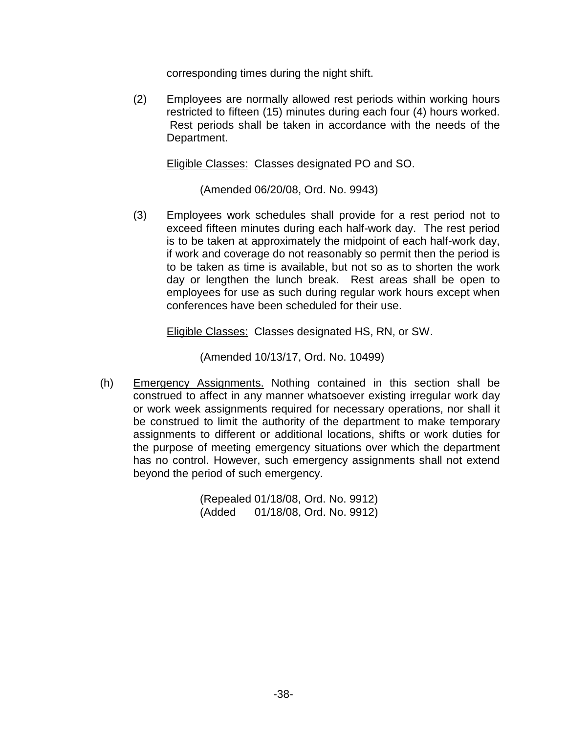corresponding times during the night shift.

(2) Employees are normally allowed rest periods within working hours restricted to fifteen (15) minutes during each four (4) hours worked. Rest periods shall be taken in accordance with the needs of the Department.

Eligible Classes: Classes designated PO and SO.

(Amended 06/20/08, Ord. No. 9943)

(3) Employees work schedules shall provide for a rest period not to exceed fifteen minutes during each half-work day. The rest period is to be taken at approximately the midpoint of each half-work day, if work and coverage do not reasonably so permit then the period is to be taken as time is available, but not so as to shorten the work day or lengthen the lunch break. Rest areas shall be open to employees for use as such during regular work hours except when conferences have been scheduled for their use.

Eligible Classes: Classes designated HS, RN, or SW.

(Amended 10/13/17, Ord. No. 10499)

(h) Emergency Assignments. Nothing contained in this section shall be construed to affect in any manner whatsoever existing irregular work day or work week assignments required for necessary operations, nor shall it be construed to limit the authority of the department to make temporary assignments to different or additional locations, shifts or work duties for the purpose of meeting emergency situations over which the department has no control. However, such emergency assignments shall not extend beyond the period of such emergency.

> (Repealed 01/18/08, Ord. No. 9912) (Added 01/18/08, Ord. No. 9912)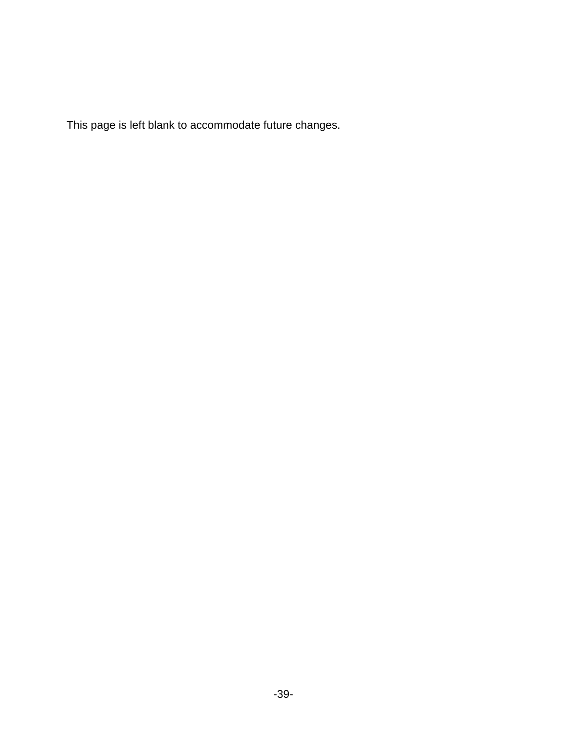This page is left blank to accommodate future changes.